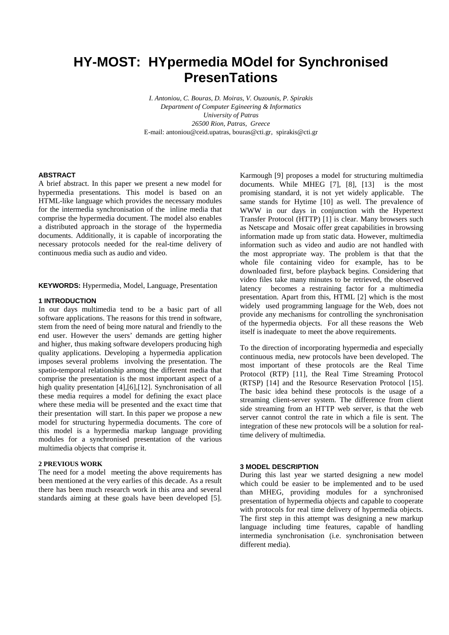# **HY-MOST: HYpermedia MOdel for Synchronised PresenTations**

*I. Antoniou, C. Bouras, D. Moiras, V. Ouzounis, P. Spirakis Department of Computer Egineering & Informatics University of Patras 26500 Rion, Patras, Greece*  E-mail: antoniou@ceid.upatras, bouras@cti.gr, spirakis@cti.gr

#### **ABSTRACT**

A brief abstract. In this paper we present a new model for hypermedia presentations. This model is based on an HTML-like language which provides the necessary modules for the intermedia synchronisation of the inline media that comprise the hypermedia document. The model also enables a distributed approach in the storage of the hypermedia documents. Additionally, it is capable of incorporating the necessary protocols needed for the real-time delivery of continuous media such as audio and video.

**KEYWORDS:** Hypermedia, Model, Language, Presentation

### **1 INTRODUCTION**

In our days multimedia tend to be a basic part of all software applications. The reasons for this trend in software, stem from the need of being more natural and friendly to the end user. However the users' demands are getting higher and higher, thus making software developers producing high quality applications. Developing a hypermedia application imposes several problems involving the presentation. The spatio-temporal relationship among the different media that comprise the presentation is the most important aspect of a high quality presentation [4], [6], [12]. Synchronisation of all these media requires a model for defining the exact place where these media will be presented and the exact time that their presentation will start. In this paper we propose a new model for structuring hypermedia documents. The core of this model is a hypermedia markup language providing modules for a synchronised presentation of the various multimedia objects that comprise it.

### **2 PREVIOUS WORK**

The need for a model meeting the above requirements has been mentioned at the very earlies of this decade. As a result there has been much research work in this area and several standards aiming at these goals have been developed [5].

Karmough [9] proposes a model for structuring multimedia documents. While MHEG [7], [8], [13] is the most promising standard, it is not yet widely applicable. The same stands for Hytime [10] as well. The prevalence of WWW in our days in conjunction with the Hypertext Transfer Protocol (HTTP) [1] is clear. Many browsers such as Netscape and Mosaic offer great capabilities in browsing information made up from static data. However, multimedia information such as video and audio are not handled with the most appropriate way. The problem is that that the whole file containing video for example, has to be downloaded first, before playback begins. Considering that video files take many minutes to be retrieved, the observed latency becomes a restraining factor for a multimedia presentation. Apart from this, HTML [2] which is the most widely used programming language for the Web, does not provide any mechanisms for controlling the synchronisation of the hypermedia objects. For all these reasons the Web itself is inadequate to meet the above requirements.

To the direction of incorporating hypermedia and especially continuous media, new protocols have been developed. The most important of these protocols are the Real Time Protocol (RTP) [11], the Real Time Streaming Protocol (RTSP) [14] and the Resource Reservation Protocol [15]. The basic idea behind these protocols is the usage of a streaming client-server system. The difference from client side streaming from an HTTP web server, is that the web server cannot control the rate in which a file is sent. The integration of these new protocols will be a solution for realtime delivery of multimedia.

## **3 MODEL DESCRIPTION**

During this last year we started designing a new model which could be easier to be implemented and to be used than MHEG, providing modules for a synchronised presentation of hypermedia objects and capable to cooperate with protocols for real time delivery of hypermedia objects. The first step in this attempt was designing a new markup language including time features, capable of handling intermedia synchronisation (i.e. synchronisation between different media).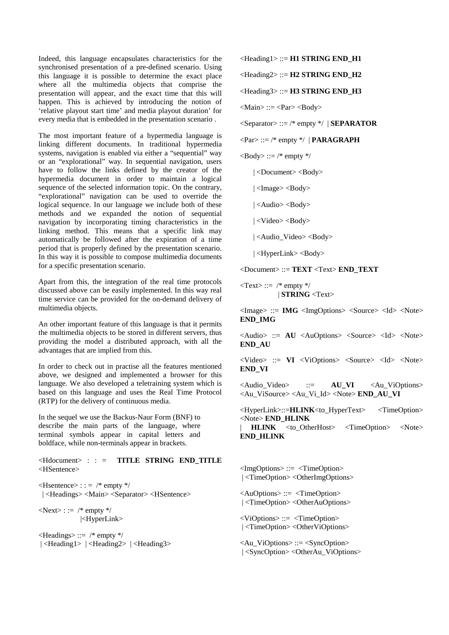Indeed, this language encapsulates characteristics for the synchronised presentation of a pre-defined scenario. Using this language it is possible to determine the exact place where all the multimedia objects that comprise the presentation will appear, and the exact time that this will happen. This is achieved by introducing the notion of 'relative playout start time' and media playout duration' for every media that is embedded in the presentation scenario .

The most important feature of a hypermedia language is linking different documents. In traditional hypermedia systems, navigation is enabled via either a "sequential" way or an "explorational" way. In sequential navigation, users have to follow the links defined by the creator of the hypermedia document in order to maintain a logical sequence of the selected information topic. On the contrary, "explorational" navigation can be used to override the logical sequence. In our language we include both of these methods and we expanded the notion of sequential navigation by incorporating timing characteristics in the linking method. This means that a specific link may automatically be followed after the expiration of a time period that is properly defined by the presentation scenario. In this way it is possible to compose multimedia documents for a specific presentation scenario.

Apart from this, the integration of the real time protocols discussed above can be easily implemented. In this way real time service can be provided for the on-demand delivery of multimedia objects.

An other important feature of this language is that it permits the multimedia objects to be stored in different servers, thus providing the model a distributed approach, with all the advantages that are implied from this.

In order to check out in practise all the features mentioned above, we designed and implemented a browser for this language. We also developed a teletraining system which is based on this language and uses the Real Time Protocol (RTP) for the delivery of continuous media.

In the sequel we use the Backus-Naur Form (BNF) to describe the main parts of the language, where terminal symbols appear in capital letters and boldface, while non-terminals appear in brackets.

## <Hdocument> : : = **TITLE STRING END\_TITLE** <HSentence>

 $\leq$ Hsentence $>$ : : = /\* empty \*/ | <Headings> <Main> <Separator> <HSentence>

 $\langle$ Next>::= /\* empty \*/ |<HyperLink>

 $\leq$ Headings> ::= /\* empty \*/ | <Heading1> | <Heading2> | <Heading3> <Heading1> ::= **H1 STRING END\_H1**

<Heading2> ::= **H2 STRING END\_H2**

<Heading3> ::= **H3 STRING END\_H3**

 $|Main\rangle ::= <$ Par $>$  $<$ Body $>$ 

<Separator> ::= /\* empty \*/ | **SEPARATOR**

 $\langle$ Par $\rangle$  ::= /\* empty \*/ | **PARAGRAPH** 

 $\langle \text{Body} \rangle ::= \text{/* empty}$  \*/

| <Document> <Body>

| <Image> <Body>

| <Audio> <Body>

| <Video> <Body>

| <Audio\_Video> <Body>

| <HyperLink> <Body>

<Document> ::= **TEXT** <Text> **END\_TEXT**

 $<$ Text $>$  ::= /\* empty \*/ | **STRING** <Text>

<Image> ::= **IMG** <ImgOptions> <Source> <Id> <Note> **END\_IMG**

<Audio> ::= **AU** <AuOptions> <Source> <Id> <Note> **END\_AU**

 $\langle \text{Video} \rangle$  ::= **VI**  $\langle \text{ViOptions} \rangle$   $\langle \text{Source} \rangle$   $\langle \text{Id} \rangle$   $\langle \text{Note} \rangle$ **END\_VI**

<Audio\_Video> ::= **AU\_VI** <Au\_ViOptions> <Au\_ViSource> <Au\_Vi\_Id> <Note> **END\_AU\_VI**

<HyperLink>::=**HLINK**<to\_HyperText> <TimeOption> <Note> **END\_HLINK**

**HLINK** <to OtherHost> <TimeOption> <Note> **END\_HLINK**

<ImgOptions> ::= <TimeOption> | <TimeOption> <OtherImgOptions>

<AuOptions> ::= <TimeOption> | <TimeOption> <OtherAuOptions>

<ViOptions> ::= <TimeOption> | <TimeOption> <OtherViOptions>

<Au\_ViOptions> ::= <SyncOption> | <SyncOption> <OtherAu\_ViOptions>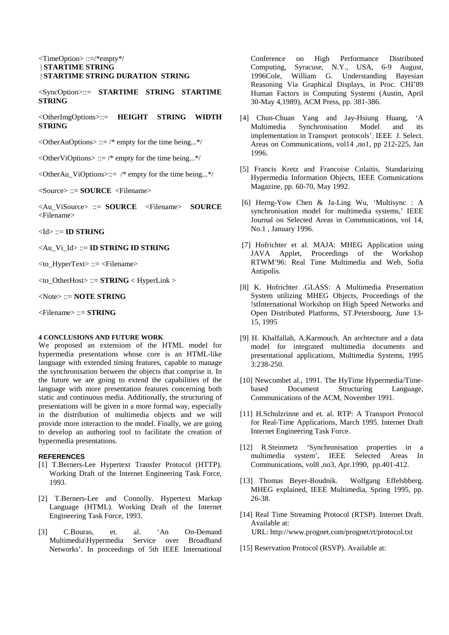## <TimeOption> ::=/\*empty\*/ | **STARTIME STRING** | **STARTIME STRING DURATION STRING**

<SyncOption>::= **STARTIME STRING STARTIME STRING**

<OtherImgOptions>::= **HEIGHT STRING WIDTH STRING**

 $\leq$ OtherAuOptions> ::= /\* empty for the time being...\*/

 $\leq$ OtherViOptions> ::= /\* empty for the time being...\*/

 $\leq$ OtherAu\_ViOptions>::= /\* empty for the time being...\*/

<Source> ::= **SOURCE** <Filename>

<Au\_ViSource> ::= **SOURCE** <Filename> **SOURCE** <Filename>

<Id> ::= **ID STRING**

<Au\_Vi\_Id> ::= **ID STRING ID STRING**

<to\_HyperText> ::= <Filename>

<to\_OtherHost> ::= **STRING** < HyperLink >

<Note> ::= **NOTE STRING**

<Filename> ::= **STRING**

## **4 CONCLUSIONS AND FUTURE WORK**

We proposed an extensiom of the HTML model for hypermedia presentations whose core is an HTML-like language with extended timing features, capable to manage the synchronisation between the objects that comprise it. In the future we are going to extend the capabilities of the language with more presentation features concerning both static and continuous media. Additionally, the structuring of presentations will be given in a more formal way, especially in the distribution of multimedia objects and we will provide more interaction to the model. Finally, we are going to develop an authoring tool to facilitate the creation of hypermedia presentations.

## **REFERENCES**

- [1] T.Berners-Lee Hypertext Transfer Protocol (HTTP). Working Draft of the Internet Engineering Task Force, 1993.
- [2] T.Berners-Lee and Connolly. Hypertext Markup Language (HTML). Working Draft of the Internet Engineering Task Force, 1993.
- [3] C.Bouras, et. al. 'An On-Demand Multimedia\Hypermedia Service over Broadband Networks'. In proceedings of 5th IEEE International

Conference on High Performance Distributed Computing, Syracuse, N.Y., USA, 6-9 August, 1996Cole, William G. Understanding Bayesian Reasoning Via Graphical Displays, in Proc. CHI'89 Human Factors in Computing Systems (Austin, April 30-May 4,1989), ACM Press, pp. 381-386.

- [4] Chun-Chuan Yang and Jay-Hsiung Huang, 'A Multimedia Synchronisation Model and its implementation in Transport protocols'. IEEE J. Select. Areas on Communications, vol14 ,no1, pp 212-225, Jan 1996.
- [5] Francis Kretz and Francoise Colaitis, Standarizing Hypermedia Information Objects, IEEE Comunications Magazine, pp. 60-70, May 1992.
- [6] Herng-Yow Chen & Ja-Ling Wu, 'Multisync : A synchronisation model for multimedia systems,' IEEE Journal on Selected Areas in Communications, vol 14, No.1 , January 1996.
- [7] Hofrichter et al. MAJA: MHEG Application using JAVA Applet, Proceedings of the Workshop RTWM'96: Real Time Multimedia and Web, Sofia Antipolis.
- [8] K. Hofrichter .GLASS: A Multimedia Presentation System utilizing MHEG Objects, Proceedings of the !stInternational Workshop on High Speed Networks and Open Distributed Platforms, ST.Petersbourg, June 13- 15, 1995
- [9] H. Khalfallah, A.Karmouch. An archtecture and a data model for integrated multimedia documents and presentational applications, Multimedia Systems, 1995 3:238-250.
- [10] Newcombet al., 1991. The HyTime Hypermedia/Timebased Document Structuring Language, Communications of the ACM, November 1991.
- [11] H.Schulzrinne and et. al. RTP: A Transport Protocol for Real-Time Applications, March 1995. Internet Draft Internet Engineering Task Force.
- [12] R.Steinmetz 'Synchronisation properties in a multimedia system', IEEE Selected Areas In Communications, vol8 ,no3, Apr.1990, pp.401-412.
- [13] Thomas Beyer-Boudnik. Wolfgang Effelsbberg. MHEG explained, IEEE Multimedia, Spring 1995, pp. 26-38.
- [14] Real Time Streaming Protocol (RTSP). Internet Draft. Available at: URL: http://www.prognet.com/prognet/rt/protocol.txt
- [15] Reservation Protocol (RSVP). Available at: